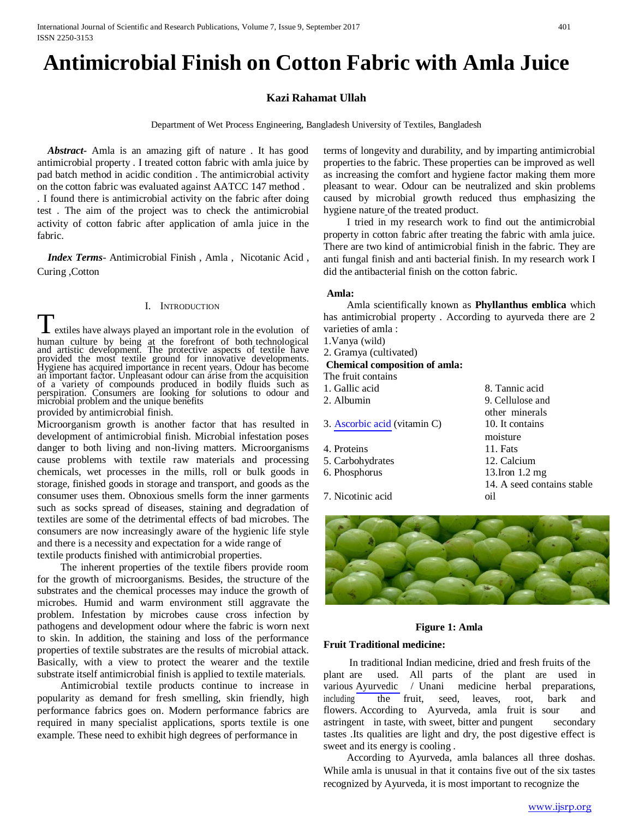# **Antimicrobial Finish on Cotton Fabric with Amla Juice**

### **Kazi Rahamat Ullah**

Department of Wet Process Engineering, Bangladesh University of Textiles, Bangladesh

*Abstract***-** Amla is an amazing gift of nature . It has good antimicrobial property . I treated cotton fabric with amla juice by pad batch method in acidic condition . The antimicrobial activity on the cotton fabric was evaluated against AATCC 147 method . . I found there is antimicrobial activity on the fabric after doing test . The aim of the project was to check the antimicrobial activity of cotton fabric after application of amla juice in the fabric.

*Index Terms*- Antimicrobial Finish , Amla , Nicotanic Acid , Curing ,Cotton

#### I. INTRODUCTION

**L** extiles have always played an important role in the evolution of human culture by being at the forefront of both technological and artistic development. The protective aspects of textile have provided the most textile ground for innovative developments. Hygiene has acquired importance in recent years. Odour has become an important factor. Unpleasant odour can arise from the acquisition of a variety of compounds produced in bodily fluids such as perspiration. Consumers are looking for solutions to odour and microbial problem and the unique benefits

provided by antimicrobial finish.

Microorganism growth is another factor that has resulted in development of antimicrobial finish. Microbial infestation poses danger to both living and non-living matters. Microorganisms cause problems with textile raw materials and processing chemicals, wet processes in the mills, roll or bulk goods in storage, finished goods in storage and transport, and goods as the consumer uses them. Obnoxious smells form the inner garments such as socks spread of diseases, staining and degradation of textiles are some of the detrimental effects of bad microbes. The consumers are now increasingly aware of the hygienic life style and there is a necessity and expectation for a wide range of textile products finished with antimicrobial properties.

The inherent properties of the textile fibers provide room for the growth of microorganisms. Besides, the structure of the substrates and the chemical processes may induce the growth of microbes. Humid and warm environment still aggravate the problem. Infestation by microbes cause cross infection by pathogens and development odour where the fabric is worn next to skin. In addition, the staining and loss of the performance properties of textile substrates are the results of microbial attack. Basically, with a view to protect the wearer and the textile substrate itself antimicrobial finish is applied to textile materials.

Antimicrobial textile products continue to increase in popularity as demand for fresh smelling, skin friendly, high performance fabrics goes on. Modern performance fabrics are required in many specialist applications, sports textile is one example. These need to exhibit high degrees of performance in

terms of longevity and durability, and by imparting antimicrobial properties to the fabric. These properties can be improved as well as increasing the comfort and hygiene factor making them more pleasant to wear. Odour can be neutralized and skin problems caused by microbial growth reduced thus emphasizing the hygiene [nature](http://www.fibre2fashion.com/industry-article/1240/antimicrobial-finishes#84108913) of the treated product.

I tried in my research work to find out the antimicrobial property in cotton fabric after treating the fabric with amla juice. There are two kind of antimicrobial finish in the fabric. They are anti fungal finish and anti bacterial finish. In my research work I did the antibacterial finish on the cotton fabric.

#### **Amla:**

Amla scientifically known as **Phyllanthus emblica** which has antimicrobial property . According to ayurveda there are 2 varieties of amla :

other minerals

14. A seed contains stable

moisture

oil

- 1.Vanya (wild)
- 2. Gramya (cultivated)

#### **Chemical composition of amla:**

The fruit contains

- 1. Gallic acid 8. Tannic acid
- 2. Albumin 9. Cellulose and
- 3. [Ascorbic acid](https://en.wikipedia.org/wiki/Ascorbic_acid) (vitamin C) 10. It contains
- 4. Proteins 11. Fats
- 5. Carbohydrates 12. Calcium
- 6. Phosphorus 13.Iron 1.2 mg
- 
- 7. Nicotinic acid

#### **Figure 1: Amla**

### **Fruit Traditional medicine:**

In traditional Indian medicine, dried and fresh fruits of the plant are used. All parts of the plant are used in various [Ayurvedic](https://en.wikipedia.org/wiki/Ayurvedic_medicine) / Unani medicine herbal preparations, including the fruit, seed, leaves, root, bark and flowers. According to Ayurveda, amla fruit is sour and astringent in taste, with sweet, bitter and pungent secondary tastes .Its qualities are light and dry, the post digestive effect is sweet and its energy is cooling .

According to Ayurveda, amla balances all three doshas. While amla is unusual in that it contains five out of the six tastes recognized by Ayurveda, it is most important to recognize the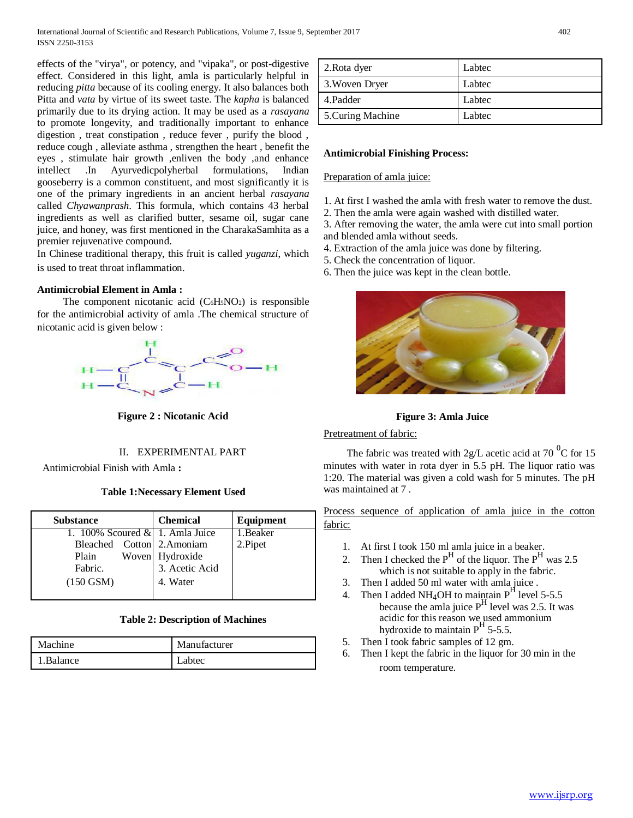effects of the "virya", or potency, and "vipaka", or post-digestive effect. Considered in this light, amla is particularly helpful in reducing *[pitta](https://en.wikipedia.org/wiki/Dosha)* because of its cooling energy. It also balances both Pitta and *[vata](https://en.wikipedia.org/wiki/Dosha)* by virtue of its sweet taste. The *[kapha](https://en.wikipedia.org/wiki/Dosha)* is balanced primarily due to its drying action. It may be used as a *[rasayana](https://en.wikipedia.org/wiki/Rasayana)* to promote longevity, and traditionally important to enhance digestion , treat [constipation ,](https://en.wikipedia.org/wiki/Constipation) reduce fever , purify the blood , reduce cough , alleviate asthma , strengthen the heart , benefit the eyes , stimulate hair growth ,enliven the body ,and enhance intellect .In Ayurvedicpolyherbal formulations, Indian gooseberry is a common constituent, and most significantly it is one of the primary ingredients in an ancient herbal *rasayana* called *[Chyawanprash](https://en.wikipedia.org/wiki/Chyawanprash)*. This formula, which contains 43 herbal ingredients as well as clarified butter, sesame oil, sugar cane juice, and honey, was first mentioned in th[e CharakaSamhita a](https://en.wikipedia.org/wiki/Charaka_Samhita)s a premier rejuvenative compound.

In Chinese traditional therapy, this fruit is called *[yuganzi](https://en.wikipedia.org/w/index.php?title=Yuganzi&action=edit&redlink=1)*, which is used to treat throat inflammation.

# **Antimicrobial Element in Amla :**

The component nicotanic acid  $(C_6H<sub>5</sub>NO<sub>2</sub>)$  is responsible for the antimicrobial activity of amla .The chemical structure of nicotanic acid is given below :



**Figure 2 : Nicotanic Acid**

# II. EXPERIMENTAL PART

Antimicrobial Finish with Amla **:**

### **Table 1:Necessary Element Used**

| <b>Substance</b>                   | <b>Chemical</b> | Equipment |
|------------------------------------|-----------------|-----------|
| 1. 100% Scoured $\&$ 1. Amla Juice |                 | 1. Beaker |
| Bleached Cotton 2.Amoniam          |                 | 2.Pipet   |
| Plain                              | Woven Hydroxide |           |
| Fabric.                            | 3. Acetic Acid  |           |
| $(150$ GSM)                        | 4. Water        |           |

# **Table 2: Description of Machines**

| Machine    | Manufacturer |
|------------|--------------|
| 1. Balance | Labtec       |

| 2. Rota dyer      | Labtec |
|-------------------|--------|
| 3. Woven Dryer    | Labtec |
| 4. Padder         | Labtec |
| 5. Curing Machine | Labtec |

### **Antimicrobial Finishing Process:**

#### Preparation of amla juice:

- 1. At first I washed the amla with fresh water to remove the dust.
- 2. Then the amla were again washed with distilled water.

3. After removing the water, the amla were cut into small portion and blended amla without seeds.

- 4. Extraction of the amla juice was done by filtering.
- 5. Check the concentration of liquor.
- 6. Then the juice was kept in the clean bottle.



 **Figure 3: Amla Juice** 

### Pretreatment of fabric:

The fabric was treated with 2g/L acetic acid at 70  $^{0}$ C for 15 minutes with water in rota dyer in 5.5 pH. The liquor ratio was 1:20. The material was given a cold wash for 5 minutes. The pH was maintained at 7 .

Process sequence of application of amla juice in the cotton fabric:

- 1. At first I took 150 ml amla juice in a beaker.
- 2. Then I checked the  $P^H$  of the liquor. The  $P^H$  was 2.5 which is not suitable to apply in the fabric.
- 3. Then I added 50 ml water with amla juice .
- 4. Then I added NH<sub>4</sub>OH to maintain  $P<sup>H</sup>$  level 5-5.5 because the amla juice  $P<sup>H</sup>$  level was 2.5. It was acidic for this reason we used ammonium hydroxide to maintain  $P<sup>H</sup>$  5-5.5.
- 5. Then I took fabric samples of 12 gm.
- 6. Then I kept the fabric in the liquor for 30 min in the room temperature.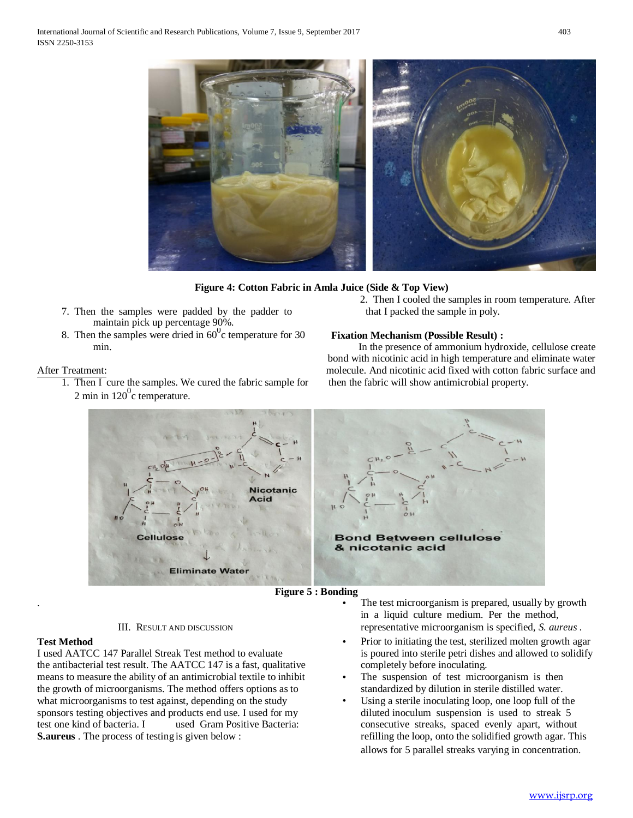

#### **Figure 4: Cotton Fabric in Amla Juice (Side & Top View)**

- 7. Then the samples were padded by the padder to that I packed the sample in poly. maintain pick up percentage 90%.
- 8. Then the samples were dried in  $60^{\circ}$ c temperature for 30

#### After Treatment:

- 1. Then I cure the samples. We cured the fabric sample for then the fabric will show antimicrobial property. 2 min in  $120^{\circ}$ c temperature.
- 2. Then I cooled the samples in room temperature. After

#### **Fixation Mechanism (Possible Result) :**

min. The presence of ammonium hydroxide, cellulose create bond with nicotinic acid in high temperature and eliminate water molecule. And nicotinic acid fixed with cotton fabric surface and



### **Figure 5 : Bonding**

III. RESULT AND DISCUSSION

.

I used AATCC 147 Parallel Streak Test method to evaluate is poured into sterile petri dishes and allowed to solidify the antibacterial test result. The AATCC 147 is a fast, qualitative completely before inoculating. means to measure the ability of an antimicrobial textile to inhibit • The suspension of test microorganism is then the growth of microorganisms. The method offers options as to standardized by dilution in sterile distilled water. what microorganisms to test against, depending on the study **•** Using a sterile inoculating loop, one loop full of the sponsors testing objectives and products end use. I used for my diluted inoculum suspension is used to streak 5 test one kind of bacteria. I used Gram Positive Bacteria: consecutive streaks, spaced evenly apart, without **S.aureus** . The process of testing is given below : refilling the loop, onto the solidified growth agar. This

The test microorganism is prepared, usually by growth in a liquid culture medium. Per the method, representative microorganism is specified, *S. aureus .*

- **Test Method** Prior to initiating the test, sterilized molten growth agar
	-
	- allows for 5 parallel streaks varying in concentration.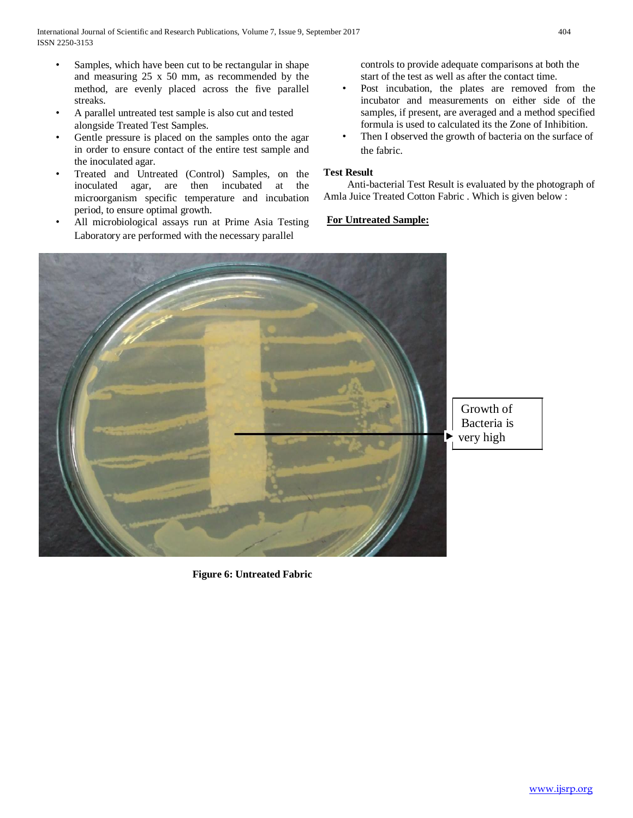- Samples, which have been cut to be rectangular in shape and measuring 25 x 50 mm, as recommended by the method, are evenly placed across the five parallel streaks.
- A parallel untreated test sample is also cut and tested alongside Treated Test Samples.
- Gentle pressure is placed on the samples onto the agar in order to ensure contact of the entire test sample and the inoculated agar.
- Treated and Untreated (Control) Samples, on the inoculated agar, are then incubated at the microorganism specific temperature and incubation period, to ensure optimal growth.
- All microbiological assays run at Prime Asia Testing Laboratory are performed with the necessary parallel

controls to provide adequate comparisons at both the start of the test as well as after the contact time.

- Post incubation, the plates are removed from the incubator and measurements on either side of the samples, if present, are averaged and a method specified formula is used to calculated its the Zone of Inhibition.
- Then I observed the growth of bacteria on the surface of the fabric.

# **Test Result**

Anti-bacterial Test Result is evaluated by the photograph of Amla Juice Treated Cotton Fabric . Which is given below :

# **For Untreated Sample:**



 **Figure 6: Untreated Fabric**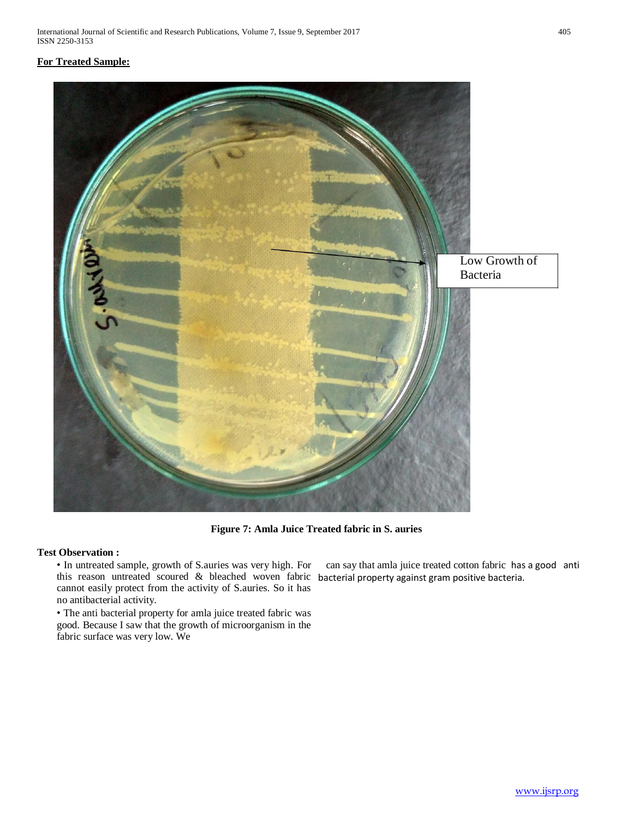# **For Treated Sample:**



**Figure 7: Amla Juice Treated fabric in S. auries**

# **Test Observation :**

this reason untreated scoured & bleached woven fabric bacterial property against gram positive bacteria. • In untreated sample, growth of S.auries was very high. For cannot easily protect from the activity of S.auries. So it has no antibacterial activity.

• The anti bacterial property for amla juice treated fabric was good. Because I saw that the growth of microorganism in the fabric surface was very low. We

can say that amla juice treated cotton fabric has a good anti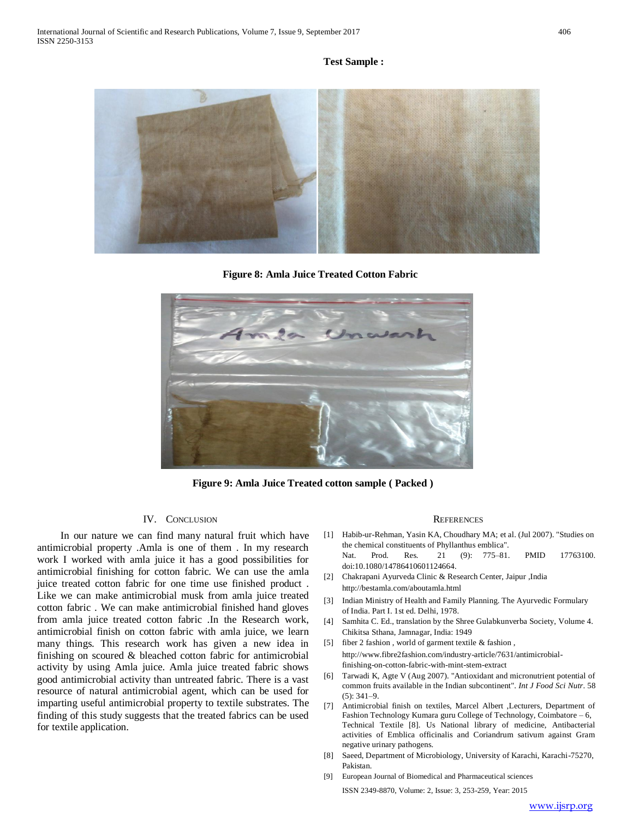#### **Test Sample :**



 **Figure 8: Amla Juice Treated Cotton Fabric**



**Figure 9: Amla Juice Treated cotton sample ( Packed )**

#### IV. CONCLUSION

In our nature we can find many natural fruit which have antimicrobial property .Amla is one of them . In my research work I worked with amla juice it has a good possibilities for antimicrobial finishing for cotton fabric. We can use the amla juice treated cotton fabric for one time use finished product . Like we can make antimicrobial musk from amla juice treated cotton fabric . We can make antimicrobial finished hand gloves from amla juice treated cotton fabric .In the Research work, antimicrobial finish on cotton fabric with amla juice, we learn many things. This research work has given a new idea in finishing on scoured & bleached cotton fabric for antimicrobial activity by using Amla juice. Amla juice treated fabric shows good antimicrobial activity than untreated fabric. There is a vast resource of natural antimicrobial agent, which can be used for imparting useful antimicrobial property to textile substrates. The finding of this study suggests that the treated fabrics can be used for textile application.

#### **REFERENCES**

- [1] Habib-ur-Rehman, Yasin KA, Choudhary MA; et al. (Jul 2007). "Studies on the chemical constituents of Phyllanthus emblica". Nat. Prod. Res. 21 (9): 775–81. PMID 17763100. doi:10.1080/14786410601124664.
- [2] Chakrapani Ayurveda Clinic & Research Center, Jaipur ,India http://bestamla.com/aboutamla.html
- [3] Indian Ministry of Health and Family Planning. The Ayurvedic Formulary of India. Part I. 1st ed. Delhi, 1978.
- [4] Samhita C. Ed., translation by the Shree Gulabkunverba Society, Volume 4. Chikitsa Sthana, Jamnagar, India: 1949
- [5] fiber 2 fashion , world of garment textile & fashion , http://www.fibre2fashion.com/industry-article/7631/antimicrobialfinishing-on-cotton-fabric-with-mint-stem-extract
- [6] Tarwadi K, Agte V (Aug 2007). "Antioxidant and micronutrient potential of common fruits available in the Indian subcontinent". *Int J Food Sci Nutr*. 58  $(5): 341 - 9.$
- [7] Antimicrobial finish on textiles, Marcel Albert ,Lecturers, Department of Fashion Technology Kumara guru College of Technology, Coimbatore – 6, Technical Textile [8]. [Us N](https://www.ncbi.nlm.nih.gov/pubmed/17337425)ational library of medicine, Antibacterial activities of Emblica officinalis and Coriandrum sativum against Gram negative urinary pathogens.
- [8] Saeed, Department of Microbiology, University of Karachi, Karachi-75270, Pakistan.
- [9] European Journal of Biomedical and Pharmaceutical sciences ISSN 2349-8870, Volume: 2, Issue: 3, 253-259, Year: 2015